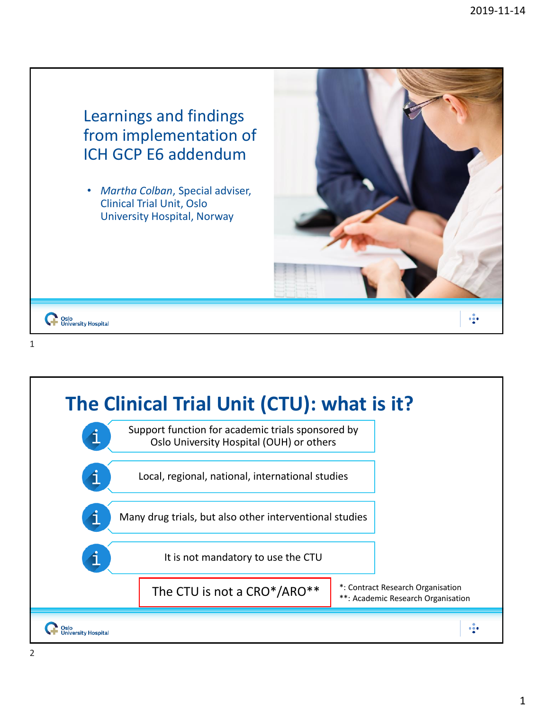

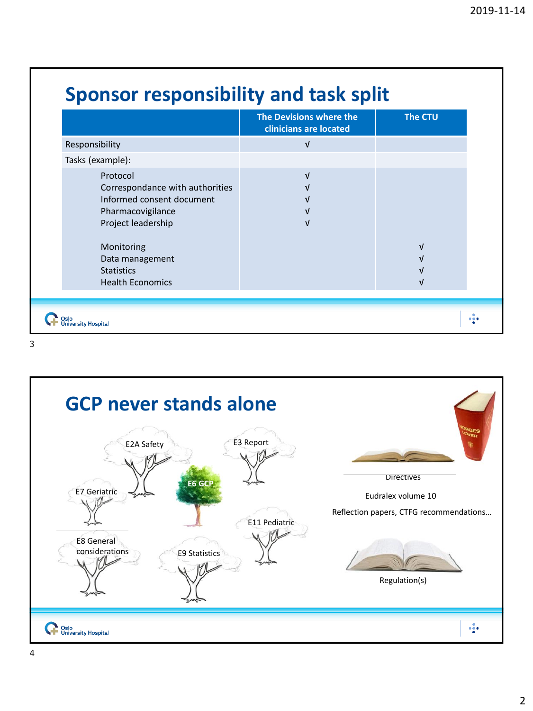|                                                                                                                                                                                                      | The Devisions where the<br>clinicians are located | <b>The CTU</b> |
|------------------------------------------------------------------------------------------------------------------------------------------------------------------------------------------------------|---------------------------------------------------|----------------|
| Responsibility                                                                                                                                                                                       | $\sqrt{ }$                                        |                |
| Tasks (example):                                                                                                                                                                                     |                                                   |                |
| Protocol<br>Correspondance with authorities<br>Informed consent document<br>Pharmacovigilance<br>Project leadership<br>Monitoring<br>Data management<br><b>Statistics</b><br><b>Health Economics</b> | $\sqrt{ }$<br>V                                   | νI             |



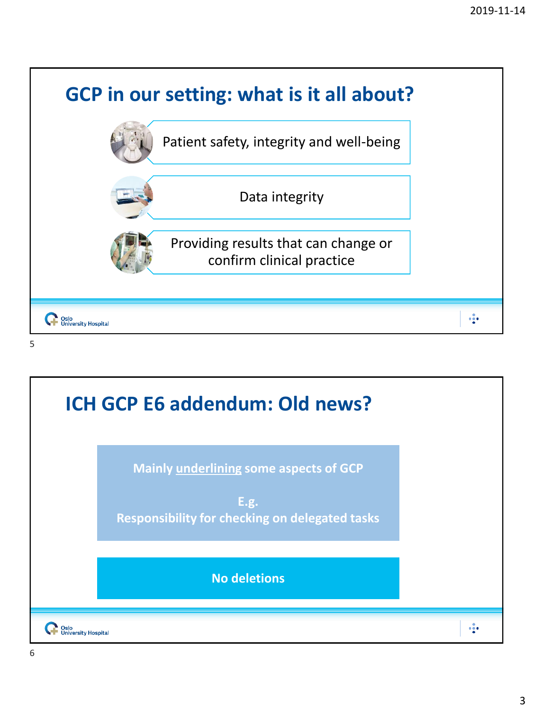

5

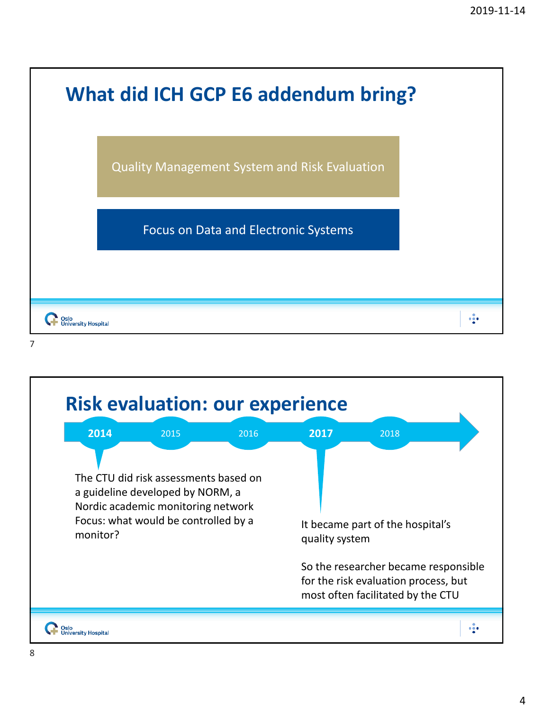|                   | <b>What did ICH GCP E6 addendum bring?</b>           |         |
|-------------------|------------------------------------------------------|---------|
|                   | <b>Quality Management System and Risk Evaluation</b> |         |
|                   | <b>Focus on Data and Electronic Systems</b>          |         |
|                   |                                                      |         |
| sity Hospita<br>7 |                                                      | $- - -$ |

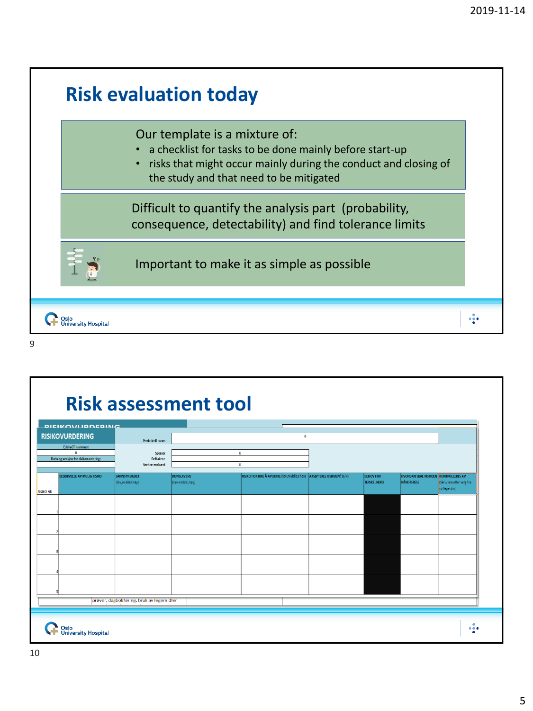

9

## **Risk assessment tool**

| Protokoll navn<br><b>EUdraCT nummer:</b><br>$\mathbf{a}$<br>$\bullet$<br>Sponsor<br>Dato og versjon for risikovurdering:<br><b>Deltakere</b><br>Sentre evaluert<br>$\mathbf{0}$<br>RISIKO FOR IKKE Å AVDEKKE (lav,middles,høy) AKSEPTERES RISIKOEN? (J/N)<br><b>BESKRIVELSE AV MULIG RISIKO</b><br>SANNSYNLIGHET<br><b>KONSEKVENS</b><br><b>BEHOV FOR</b><br>(lav,middel,høy)<br>(lav,middel,høy)<br><b>TERSKELVERDI</b><br><b>RISIKO NR</b> | HVORDAN SKAL RISIKOEN KONTROLLERES AV<br>HÅNDTERES?<br>(Skriv inn eller velg fra<br>rullegardin) |
|----------------------------------------------------------------------------------------------------------------------------------------------------------------------------------------------------------------------------------------------------------------------------------------------------------------------------------------------------------------------------------------------------------------------------------------------|--------------------------------------------------------------------------------------------------|
|                                                                                                                                                                                                                                                                                                                                                                                                                                              |                                                                                                  |
|                                                                                                                                                                                                                                                                                                                                                                                                                                              |                                                                                                  |
|                                                                                                                                                                                                                                                                                                                                                                                                                                              |                                                                                                  |
|                                                                                                                                                                                                                                                                                                                                                                                                                                              |                                                                                                  |
|                                                                                                                                                                                                                                                                                                                                                                                                                                              |                                                                                                  |
|                                                                                                                                                                                                                                                                                                                                                                                                                                              |                                                                                                  |
|                                                                                                                                                                                                                                                                                                                                                                                                                                              |                                                                                                  |
| prøver, dagbokføring, bruk av legemidler<br><b>SEA CONTRACTOR</b>                                                                                                                                                                                                                                                                                                                                                                            |                                                                                                  |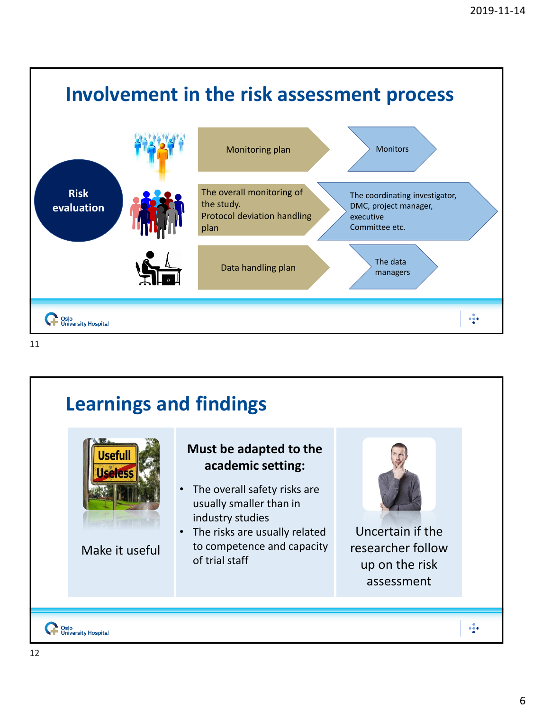

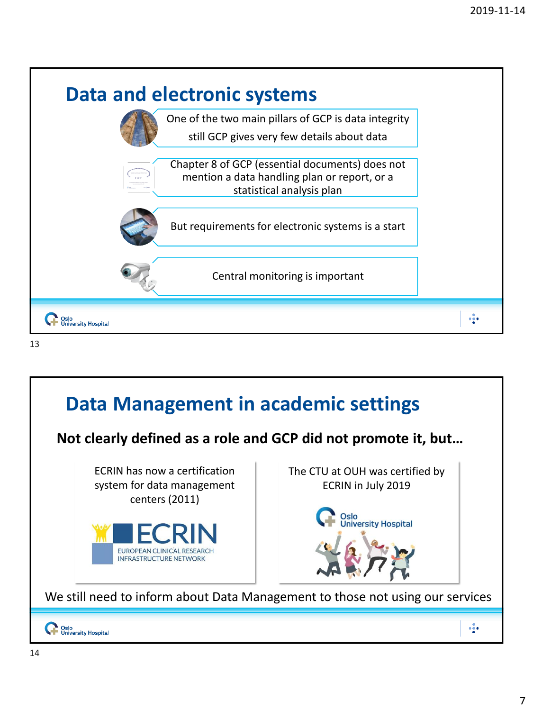

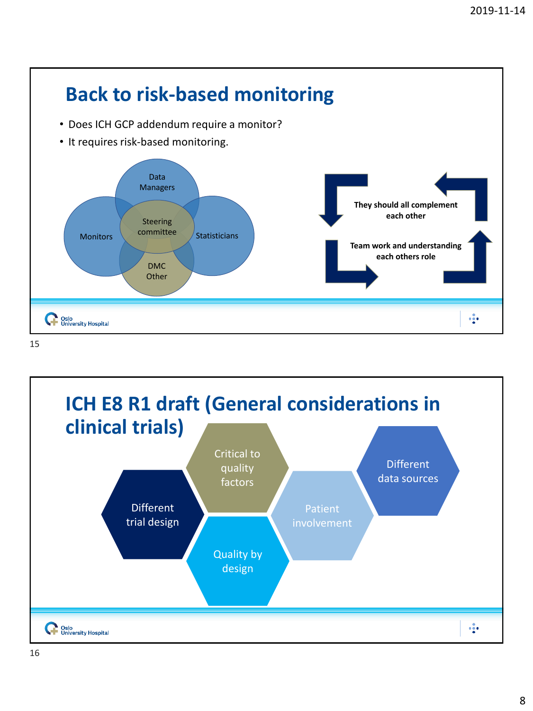